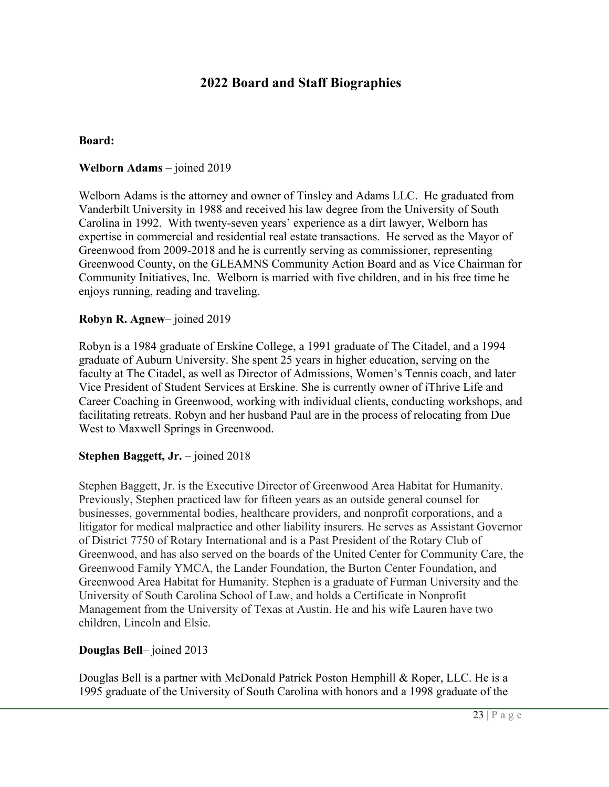# **2022 Board and Staff Biographies**

#### **Board:**

#### **Welborn Adams** – joined 2019

Welborn Adams is the attorney and owner of Tinsley and Adams LLC. He graduated from Vanderbilt University in 1988 and received his law degree from the University of South Carolina in 1992. With twenty-seven years' experience as a dirt lawyer, Welborn has expertise in commercial and residential real estate transactions. He served as the Mayor of Greenwood from 2009-2018 and he is currently serving as commissioner, representing Greenwood County, on the GLEAMNS Community Action Board and as Vice Chairman for Community Initiatives, Inc. Welborn is married with five children, and in his free time he enjoys running, reading and traveling.

#### **Robyn R. Agnew**– joined 2019

Robyn is a 1984 graduate of Erskine College, a 1991 graduate of The Citadel, and a 1994 graduate of Auburn University. She spent 25 years in higher education, serving on the faculty at The Citadel, as well as Director of Admissions, Women's Tennis coach, and later Vice President of Student Services at Erskine. She is currently owner of iThrive Life and Career Coaching in Greenwood, working with individual clients, conducting workshops, and facilitating retreats. Robyn and her husband Paul are in the process of relocating from Due West to Maxwell Springs in Greenwood.

#### **Stephen Baggett, Jr.** – joined 2018

Stephen Baggett, Jr. is the Executive Director of Greenwood Area Habitat for Humanity. Previously, Stephen practiced law for fifteen years as an outside general counsel for businesses, governmental bodies, healthcare providers, and nonprofit corporations, and a litigator for medical malpractice and other liability insurers. He serves as Assistant Governor of District 7750 of Rotary International and is a Past President of the Rotary Club of Greenwood, and has also served on the boards of the United Center for Community Care, the Greenwood Family YMCA, the Lander Foundation, the Burton Center Foundation, and Greenwood Area Habitat for Humanity. Stephen is a graduate of Furman University and the University of South Carolina School of Law, and holds a Certificate in Nonprofit Management from the University of Texas at Austin. He and his wife Lauren have two children, Lincoln and Elsie.

#### **Douglas Bell**– joined 2013

Douglas Bell is a partner with McDonald Patrick Poston Hemphill & Roper, LLC. He is a 1995 graduate of the University of South Carolina with honors and a 1998 graduate of the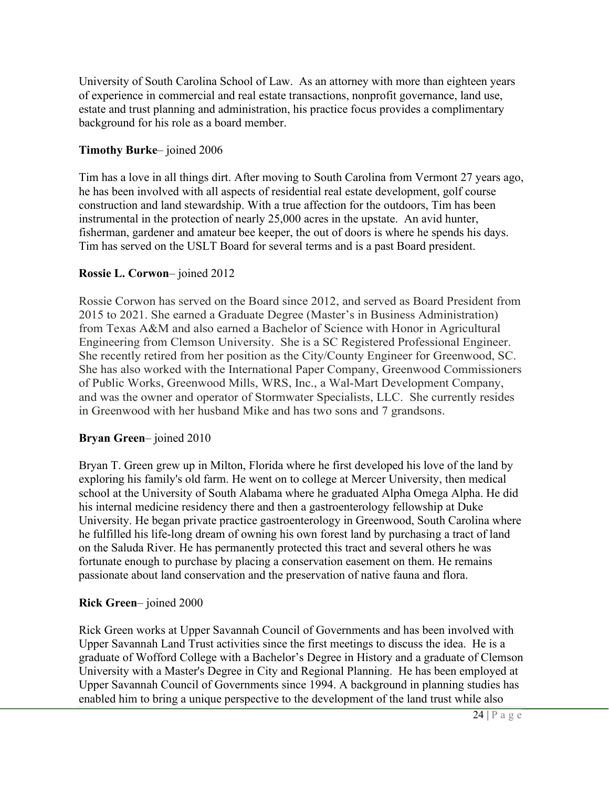University of South Carolina School of Law. As an attorney with more than eighteen years of experience in commercial and real estate transactions, nonprofit governance, land use, estate and trust planning and administration, his practice focus provides a complimentary background for his role as a board member.

### **Timothy Burke**– joined 2006

Tim has a love in all things dirt. After moving to South Carolina from Vermont 27 years ago, he has been involved with all aspects of residential real estate development, golf course construction and land stewardship. With a true affection for the outdoors, Tim has been instrumental in the protection of nearly 25,000 acres in the upstate. An avid hunter, fisherman, gardener and amateur bee keeper, the out of doors is where he spends his days. Tim has served on the USLT Board for several terms and is a past Board president.

### **Rossie L. Corwon**– joined 2012

Rossie Corwon has served on the Board since 2012, and served as Board President from 2015 to 2021. She earned a Graduate Degree (Master's in Business Administration) from Texas A&M and also earned a Bachelor of Science with Honor in Agricultural Engineering from Clemson University. She is a SC Registered Professional Engineer. She recently retired from her position as the City/County Engineer for Greenwood, SC. She has also worked with the International Paper Company, Greenwood Commissioners of Public Works, Greenwood Mills, WRS, Inc., a Wal-Mart Development Company, and was the owner and operator of Stormwater Specialists, LLC. She currently resides in Greenwood with her husband Mike and has two sons and 7 grandsons.

### **Bryan Green**– joined 2010

Bryan T. Green grew up in Milton, Florida where he first developed his love of the land by exploring his family's old farm. He went on to college at Mercer University, then medical school at the University of South Alabama where he graduated Alpha Omega Alpha. He did his internal medicine residency there and then a gastroenterology fellowship at Duke University. He began private practice gastroenterology in Greenwood, South Carolina where he fulfilled his life-long dream of owning his own forest land by purchasing a tract of land on the Saluda River. He has permanently protected this tract and several others he was fortunate enough to purchase by placing a conservation easement on them. He remains passionate about land conservation and the preservation of native fauna and flora.

## **Rick Green**– joined 2000

Rick Green works at Upper Savannah Council of Governments and has been involved with Upper Savannah Land Trust activities since the first meetings to discuss the idea. He is a graduate of Wofford College with a Bachelor's Degree in History and a graduate of Clemson University with a Master's Degree in City and Regional Planning. He has been employed at Upper Savannah Council of Governments since 1994. A background in planning studies has enabled him to bring a unique perspective to the development of the land trust while also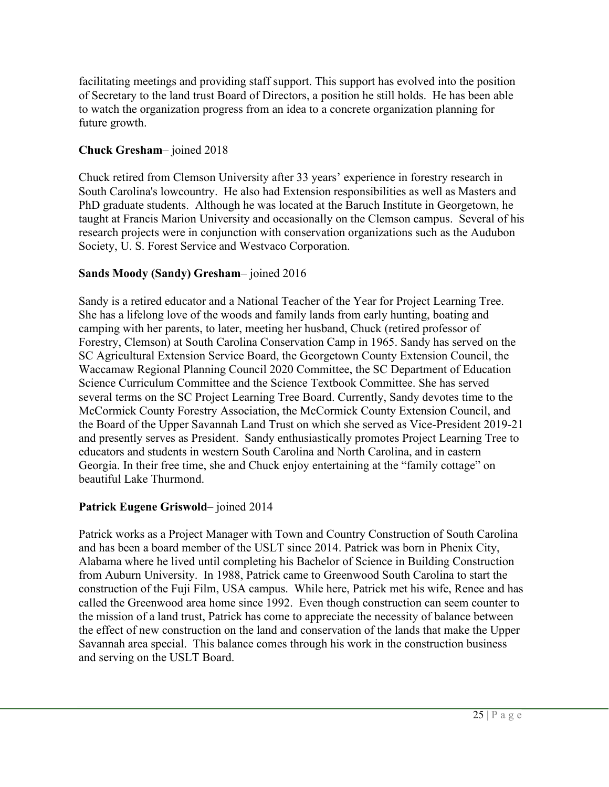facilitating meetings and providing staff support. This support has evolved into the position of Secretary to the land trust Board of Directors, a position he still holds. He has been able to watch the organization progress from an idea to a concrete organization planning for future growth.

### **Chuck Gresham**– joined 2018

Chuck retired from Clemson University after 33 years' experience in forestry research in South Carolina's lowcountry. He also had Extension responsibilities as well as Masters and PhD graduate students. Although he was located at the Baruch Institute in Georgetown, he taught at Francis Marion University and occasionally on the Clemson campus. Several of his research projects were in conjunction with conservation organizations such as the Audubon Society, U. S. Forest Service and Westvaco Corporation.

### **Sands Moody (Sandy) Gresham**– joined 2016

Sandy is a retired educator and a National Teacher of the Year for Project Learning Tree. She has a lifelong love of the woods and family lands from early hunting, boating and camping with her parents, to later, meeting her husband, Chuck (retired professor of Forestry, Clemson) at South Carolina Conservation Camp in 1965. Sandy has served on the SC Agricultural Extension Service Board, the Georgetown County Extension Council, the Waccamaw Regional Planning Council 2020 Committee, the SC Department of Education Science Curriculum Committee and the Science Textbook Committee. She has served several terms on the SC Project Learning Tree Board. Currently, Sandy devotes time to the McCormick County Forestry Association, the McCormick County Extension Council, and the Board of the Upper Savannah Land Trust on which she served as Vice-President 2019-21 and presently serves as President. Sandy enthusiastically promotes Project Learning Tree to educators and students in western South Carolina and North Carolina, and in eastern Georgia. In their free time, she and Chuck enjoy entertaining at the "family cottage" on beautiful Lake Thurmond.

### **Patrick Eugene Griswold**– joined 2014

Patrick works as a Project Manager with Town and Country Construction of South Carolina and has been a board member of the USLT since 2014. Patrick was born in Phenix City, Alabama where he lived until completing his Bachelor of Science in Building Construction from Auburn University. In 1988, Patrick came to Greenwood South Carolina to start the construction of the Fuji Film, USA campus. While here, Patrick met his wife, Renee and has called the Greenwood area home since 1992. Even though construction can seem counter to the mission of a land trust, Patrick has come to appreciate the necessity of balance between the effect of new construction on the land and conservation of the lands that make the Upper Savannah area special. This balance comes through his work in the construction business and serving on the USLT Board.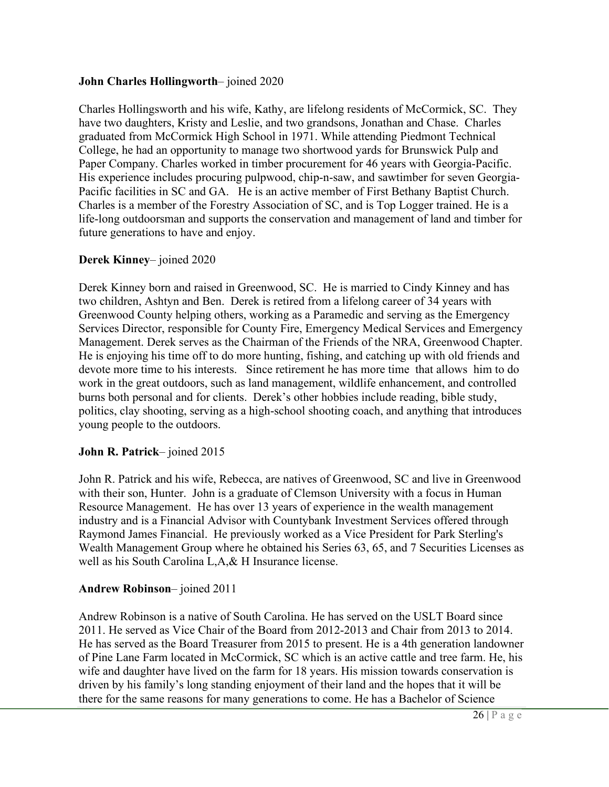### **John Charles Hollingworth**– joined 2020

Charles Hollingsworth and his wife, Kathy, are lifelong residents of McCormick, SC. They have two daughters, Kristy and Leslie, and two grandsons, Jonathan and Chase. Charles graduated from McCormick High School in 1971. While attending Piedmont Technical College, he had an opportunity to manage two shortwood yards for Brunswick Pulp and Paper Company. Charles worked in timber procurement for 46 years with Georgia-Pacific. His experience includes procuring pulpwood, chip-n-saw, and sawtimber for seven Georgia-Pacific facilities in SC and GA. He is an active member of First Bethany Baptist Church. Charles is a member of the Forestry Association of SC, and is Top Logger trained. He is a life-long outdoorsman and supports the conservation and management of land and timber for future generations to have and enjoy.

### **Derek Kinney**– joined 2020

Derek Kinney born and raised in Greenwood, SC. He is married to Cindy Kinney and has two children, Ashtyn and Ben. Derek is retired from a lifelong career of 34 years with Greenwood County helping others, working as a Paramedic and serving as the Emergency Services Director, responsible for County Fire, Emergency Medical Services and Emergency Management. Derek serves as the Chairman of the Friends of the NRA, Greenwood Chapter. He is enjoying his time off to do more hunting, fishing, and catching up with old friends and devote more time to his interests. Since retirement he has more time that allows him to do work in the great outdoors, such as land management, wildlife enhancement, and controlled burns both personal and for clients. Derek's other hobbies include reading, bible study, politics, clay shooting, serving as a high-school shooting coach, and anything that introduces young people to the outdoors.

### **John R. Patrick**– joined 2015

John R. Patrick and his wife, Rebecca, are natives of Greenwood, SC and live in Greenwood with their son, Hunter. John is a graduate of Clemson University with a focus in Human Resource Management. He has over 13 years of experience in the wealth management industry and is a Financial Advisor with Countybank Investment Services offered through Raymond James Financial. He previously worked as a Vice President for Park Sterling's Wealth Management Group where he obtained his Series 63, 65, and 7 Securities Licenses as well as his South Carolina L,A,& H Insurance license.

### **Andrew Robinson**– joined 2011

Andrew Robinson is a native of South Carolina. He has served on the USLT Board since 2011. He served as Vice Chair of the Board from 2012-2013 and Chair from 2013 to 2014. He has served as the Board Treasurer from 2015 to present. He is a 4th generation landowner of Pine Lane Farm located in McCormick, SC which is an active cattle and tree farm. He, his wife and daughter have lived on the farm for 18 years. His mission towards conservation is driven by his family's long standing enjoyment of their land and the hopes that it will be there for the same reasons for many generations to come. He has a Bachelor of Science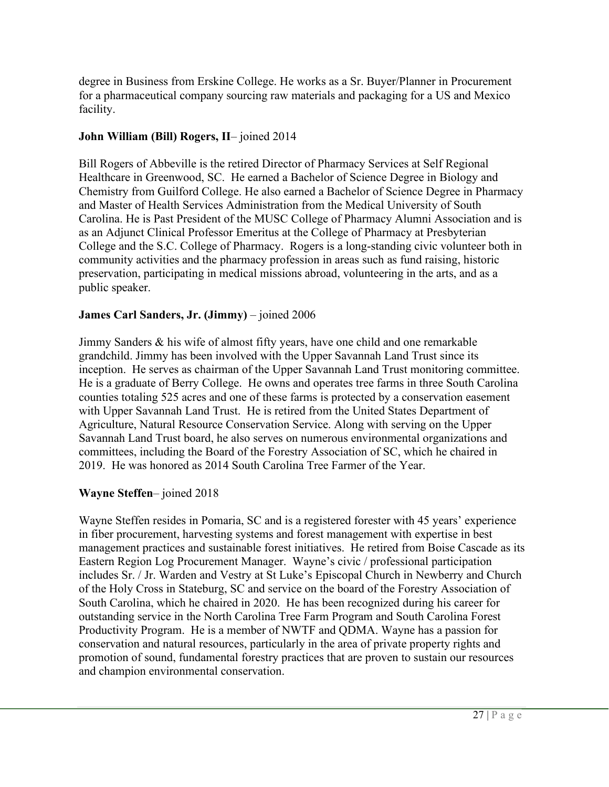degree in Business from Erskine College. He works as a Sr. Buyer/Planner in Procurement for a pharmaceutical company sourcing raw materials and packaging for a US and Mexico facility.

#### **John William (Bill) Rogers, II**– joined 2014

Bill Rogers of Abbeville is the retired Director of Pharmacy Services at Self Regional Healthcare in Greenwood, SC. He earned a Bachelor of Science Degree in Biology and Chemistry from Guilford College. He also earned a Bachelor of Science Degree in Pharmacy and Master of Health Services Administration from the Medical University of South Carolina. He is Past President of the MUSC College of Pharmacy Alumni Association and is as an Adjunct Clinical Professor Emeritus at the College of Pharmacy at Presbyterian College and the S.C. College of Pharmacy. Rogers is a long-standing civic volunteer both in community activities and the pharmacy profession in areas such as fund raising, historic preservation, participating in medical missions abroad, volunteering in the arts, and as a public speaker.

#### **James Carl Sanders, Jr. (Jimmy)** – joined 2006

Jimmy Sanders & his wife of almost fifty years, have one child and one remarkable grandchild. Jimmy has been involved with the Upper Savannah Land Trust since its inception. He serves as chairman of the Upper Savannah Land Trust monitoring committee. He is a graduate of Berry College. He owns and operates tree farms in three South Carolina counties totaling 525 acres and one of these farms is protected by a conservation easement with Upper Savannah Land Trust. He is retired from the United States Department of Agriculture, Natural Resource Conservation Service. Along with serving on the Upper Savannah Land Trust board, he also serves on numerous environmental organizations and committees, including the Board of the Forestry Association of SC, which he chaired in 2019. He was honored as 2014 South Carolina Tree Farmer of the Year.

#### **Wayne Steffen**– joined 2018

Wayne Steffen resides in Pomaria, SC and is a registered forester with 45 years' experience in fiber procurement, harvesting systems and forest management with expertise in best management practices and sustainable forest initiatives. He retired from Boise Cascade as its Eastern Region Log Procurement Manager. Wayne's civic / professional participation includes Sr. / Jr. Warden and Vestry at St Luke's Episcopal Church in Newberry and Church of the Holy Cross in Stateburg, SC and service on the board of the Forestry Association of South Carolina, which he chaired in 2020. He has been recognized during his career for outstanding service in the North Carolina Tree Farm Program and South Carolina Forest Productivity Program. He is a member of NWTF and QDMA. Wayne has a passion for conservation and natural resources, particularly in the area of private property rights and promotion of sound, fundamental forestry practices that are proven to sustain our resources and champion environmental conservation.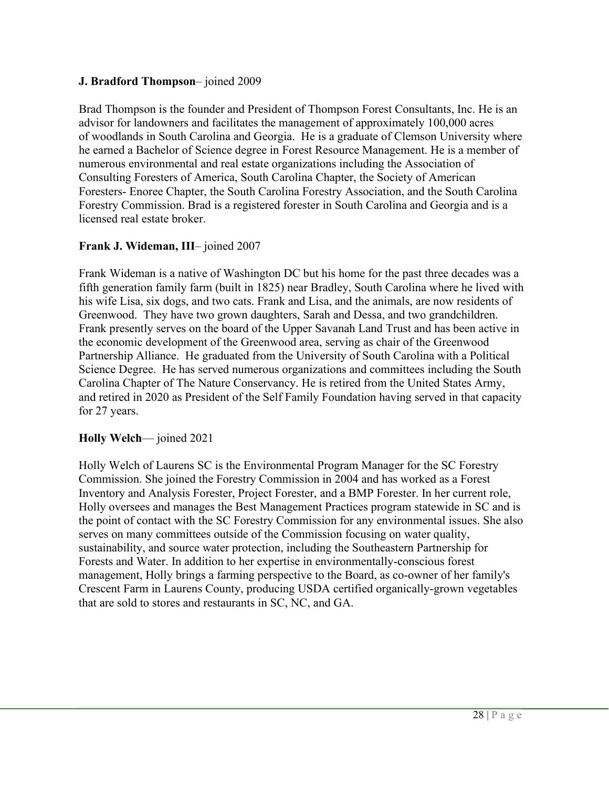### **J. Bradford Thompson**– joined 2009

Brad Thompson is the founder and President of Thompson Forest Consultants, Inc. He is an advisor for landowners and facilitates the management of approximately 100,000 acres of woodlands in South Carolina and Georgia. He is a graduate of Clemson University where he earned a Bachelor of Science degree in Forest Resource Management. He is a member of numerous environmental and real estate organizations including the Association of Consulting Foresters of America, South Carolina Chapter, the Society of American Foresters- Enoree Chapter, the South Carolina Forestry Association, and the South Carolina Forestry Commission. Brad is a registered forester in South Carolina and Georgia and is a licensed real estate broker.

### **Frank J. Wideman, III**– joined 2007

Frank Wideman is a native of Washington DC but his home for the past three decades was a fifth generation family farm (built in 1825) near Bradley, South Carolina where he lived with his wife Lisa, six dogs, and two cats. Frank and Lisa, and the animals, are now residents of Greenwood. They have two grown daughters, Sarah and Dessa, and two grandchildren. Frank presently serves on the board of the Upper Savanah Land Trust and has been active in the economic development of the Greenwood area, serving as chair of the Greenwood Partnership Alliance. He graduated from the University of South Carolina with a Political Science Degree. He has served numerous organizations and committees including the South Carolina Chapter of The Nature Conservancy. He is retired from the United States Army, and retired in 2020 as President of the Self Family Foundation having served in that capacity for 27 years.

### **Holly Welch**— joined 2021

Holly Welch of Laurens SC is the Environmental Program Manager for the SC Forestry Commission. She joined the Forestry Commission in 2004 and has worked as a Forest Inventory and Analysis Forester, Project Forester, and a BMP Forester. In her current role, Holly oversees and manages the Best Management Practices program statewide in SC and is the point of contact with the SC Forestry Commission for any environmental issues. She also serves on many committees outside of the Commission focusing on water quality, sustainability, and source water protection, including the Southeastern Partnership for Forests and Water. In addition to her expertise in environmentally-conscious forest management, Holly brings a farming perspective to the Board, as co-owner of her family's Crescent Farm in Laurens County, producing USDA certified organically-grown vegetables that are sold to stores and restaurants in SC, NC, and GA.